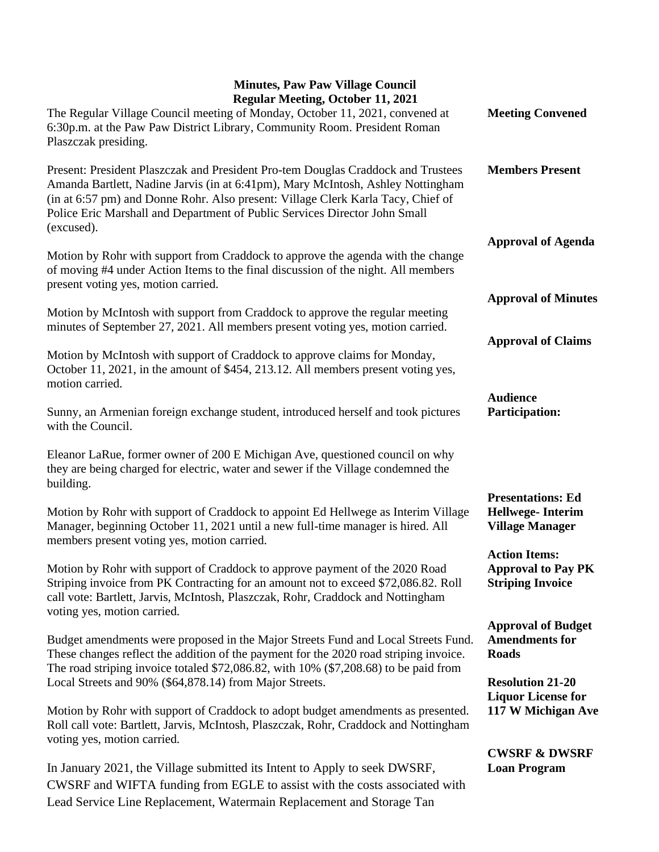## **Minutes, Paw Paw Village Council Regular Meeting, October 11, 2021**

| Regular Meeting, October 11, 2021<br>The Regular Village Council meeting of Monday, October 11, 2021, convened at<br>6:30p.m. at the Paw Paw District Library, Community Room. President Roman<br>Plaszczak presiding.                                                                                                                              | <b>Meeting Convened</b>                                                       |
|-----------------------------------------------------------------------------------------------------------------------------------------------------------------------------------------------------------------------------------------------------------------------------------------------------------------------------------------------------|-------------------------------------------------------------------------------|
| Present: President Plaszczak and President Pro-tem Douglas Craddock and Trustees<br>Amanda Bartlett, Nadine Jarvis (in at 6:41pm), Mary McIntosh, Ashley Nottingham<br>(in at 6:57 pm) and Donne Rohr. Also present: Village Clerk Karla Tacy, Chief of<br>Police Eric Marshall and Department of Public Services Director John Small<br>(excused). | <b>Members Present</b>                                                        |
| Motion by Rohr with support from Craddock to approve the agenda with the change<br>of moving #4 under Action Items to the final discussion of the night. All members<br>present voting yes, motion carried.                                                                                                                                         | <b>Approval of Agenda</b>                                                     |
| Motion by McIntosh with support from Craddock to approve the regular meeting<br>minutes of September 27, 2021. All members present voting yes, motion carried.                                                                                                                                                                                      | <b>Approval of Minutes</b>                                                    |
| Motion by McIntosh with support of Craddock to approve claims for Monday,<br>October 11, 2021, in the amount of \$454, 213.12. All members present voting yes,<br>motion carried.                                                                                                                                                                   | <b>Approval of Claims</b>                                                     |
| Sunny, an Armenian foreign exchange student, introduced herself and took pictures<br>with the Council.                                                                                                                                                                                                                                              | <b>Audience</b><br><b>Participation:</b>                                      |
| Eleanor LaRue, former owner of 200 E Michigan Ave, questioned council on why<br>they are being charged for electric, water and sewer if the Village condemned the<br>building.                                                                                                                                                                      |                                                                               |
| Motion by Rohr with support of Craddock to appoint Ed Hellwege as Interim Village<br>Manager, beginning October 11, 2021 until a new full-time manager is hired. All<br>members present voting yes, motion carried.                                                                                                                                 | <b>Presentations: Ed</b><br><b>Hellwege-Interim</b><br><b>Village Manager</b> |
| Motion by Rohr with support of Craddock to approve payment of the 2020 Road<br>Striping invoice from PK Contracting for an amount not to exceed \$72,086.82. Roll<br>call vote: Bartlett, Jarvis, McIntosh, Plaszczak, Rohr, Craddock and Nottingham<br>voting yes, motion carried.                                                                 | <b>Action Items:</b><br><b>Approval to Pay PK</b><br><b>Striping Invoice</b>  |
| Budget amendments were proposed in the Major Streets Fund and Local Streets Fund.<br>These changes reflect the addition of the payment for the 2020 road striping invoice.<br>The road striping invoice totaled \$72,086.82, with 10% (\$7,208.68) to be paid from                                                                                  | <b>Approval of Budget</b><br><b>Amendments for</b><br><b>Roads</b>            |
| Local Streets and 90% (\$64,878.14) from Major Streets.<br>Motion by Rohr with support of Craddock to adopt budget amendments as presented.<br>Roll call vote: Bartlett, Jarvis, McIntosh, Plaszczak, Rohr, Craddock and Nottingham                                                                                                                 | <b>Resolution 21-20</b><br><b>Liquor License for</b><br>117 W Michigan Ave    |
| voting yes, motion carried.<br>In January 2021, the Village submitted its Intent to Apply to seek DWSRF,<br>CWSRF and WIFTA funding from EGLE to assist with the costs associated with<br>Lead Service Line Replacement, Watermain Replacement and Storage Tan                                                                                      | <b>CWSRF &amp; DWSRF</b><br><b>Loan Program</b>                               |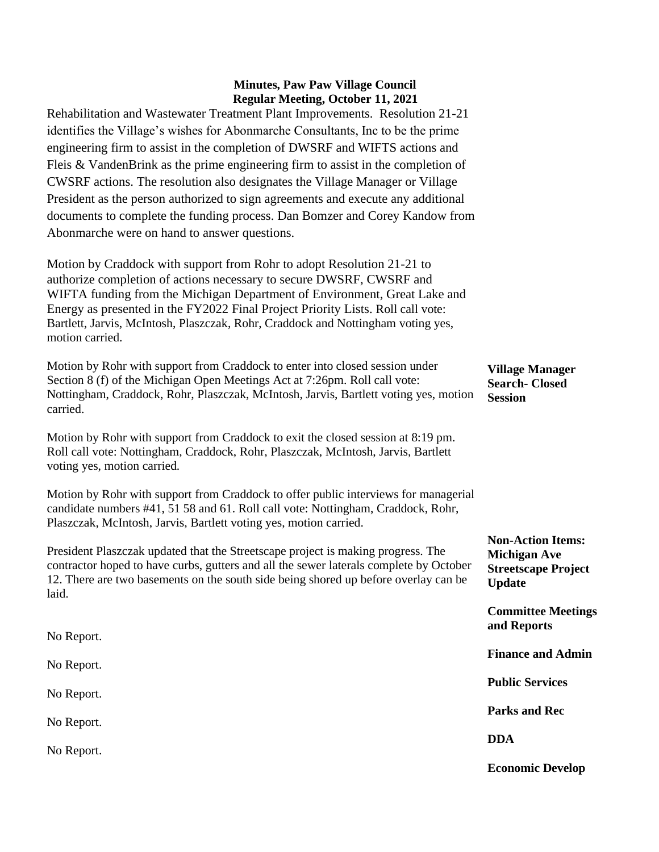## **Minutes, Paw Paw Village Council Regular Meeting, October 11, 2021**

Rehabilitation and Wastewater Treatment Plant Improvements. Resolution 21-21 identifies the Village's wishes for Abonmarche Consultants, Inc to be the prime engineering firm to assist in the completion of DWSRF and WIFTS actions and Fleis & VandenBrink as the prime engineering firm to assist in the completion of CWSRF actions. The resolution also designates the Village Manager or Village President as the person authorized to sign agreements and execute any additional documents to complete the funding process. Dan Bomzer and Corey Kandow from Abonmarche were on hand to answer questions.

Motion by Craddock with support from Rohr to adopt Resolution 21-21 to authorize completion of actions necessary to secure DWSRF, CWSRF and WIFTA funding from the Michigan Department of Environment, Great Lake and Energy as presented in the FY2022 Final Project Priority Lists. Roll call vote: Bartlett, Jarvis, McIntosh, Plaszczak, Rohr, Craddock and Nottingham voting yes, motion carried.

Motion by Rohr with support from Craddock to enter into closed session under Section 8 (f) of the Michigan Open Meetings Act at 7:26pm. Roll call vote: Nottingham, Craddock, Rohr, Plaszczak, McIntosh, Jarvis, Bartlett voting yes, motion carried. **Village Manager Search- Closed Session**

Motion by Rohr with support from Craddock to exit the closed session at 8:19 pm. Roll call vote: Nottingham, Craddock, Rohr, Plaszczak, McIntosh, Jarvis, Bartlett voting yes, motion carried.

Motion by Rohr with support from Craddock to offer public interviews for managerial candidate numbers #41, 51 58 and 61. Roll call vote: Nottingham, Craddock, Rohr, Plaszczak, McIntosh, Jarvis, Bartlett voting yes, motion carried.

President Plaszczak updated that the Streetscape project is making progress. The contractor hoped to have curbs, gutters and all the sewer laterals complete by October 12. There are two basements on the south side being shored up before overlay can be laid.

| No Report. | Commune meetings<br>and Reports |
|------------|---------------------------------|
| No Report. | <b>Finance and Admin</b>        |
| No Report. | <b>Public Services</b>          |
| No Report. | <b>Parks and Rec</b>            |
| No Report. | <b>DDA</b>                      |
|            | <b>Economic Develop</b>         |

**Non-Action Items: Michigan Ave Streetscape Project** 

**Committee Meetings** 

**Update**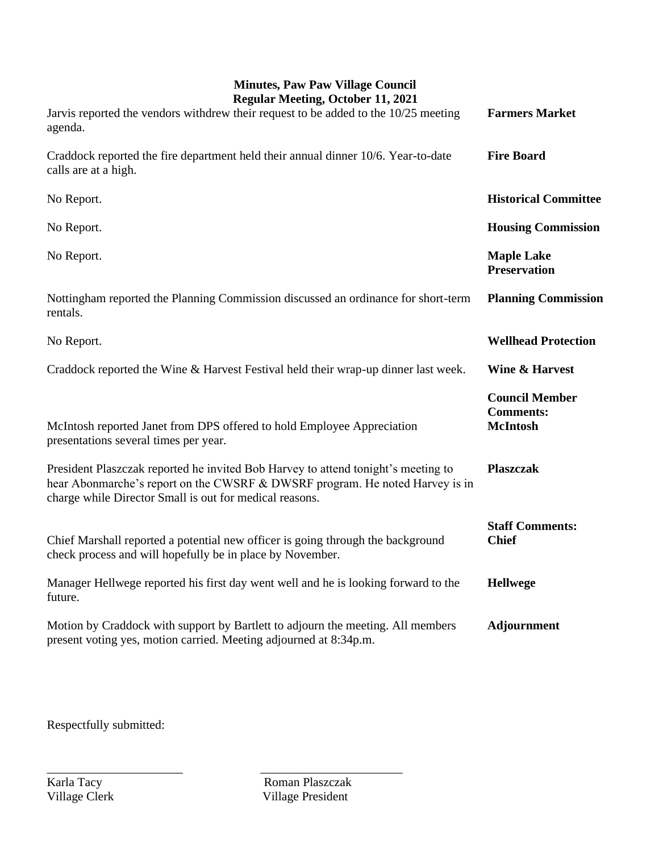## **Minutes, Paw Paw Village Council**

| <b>Regular Meeting, October 11, 2021</b>                                                                                                                                                                                     |                                                              |
|------------------------------------------------------------------------------------------------------------------------------------------------------------------------------------------------------------------------------|--------------------------------------------------------------|
| Jarvis reported the vendors withdrew their request to be added to the 10/25 meeting<br>agenda.                                                                                                                               | <b>Farmers Market</b>                                        |
| Craddock reported the fire department held their annual dinner 10/6. Year-to-date<br>calls are at a high.                                                                                                                    | <b>Fire Board</b>                                            |
| No Report.                                                                                                                                                                                                                   | <b>Historical Committee</b>                                  |
| No Report.                                                                                                                                                                                                                   | <b>Housing Commission</b>                                    |
| No Report.                                                                                                                                                                                                                   | <b>Maple Lake</b><br><b>Preservation</b>                     |
| Nottingham reported the Planning Commission discussed an ordinance for short-term<br>rentals.                                                                                                                                | <b>Planning Commission</b>                                   |
| No Report.                                                                                                                                                                                                                   | <b>Wellhead Protection</b>                                   |
| Craddock reported the Wine & Harvest Festival held their wrap-up dinner last week.                                                                                                                                           | <b>Wine &amp; Harvest</b>                                    |
| McIntosh reported Janet from DPS offered to hold Employee Appreciation<br>presentations several times per year.                                                                                                              | <b>Council Member</b><br><b>Comments:</b><br><b>McIntosh</b> |
| President Plaszczak reported he invited Bob Harvey to attend tonight's meeting to<br>hear Abonmarche's report on the CWSRF & DWSRF program. He noted Harvey is in<br>charge while Director Small is out for medical reasons. | <b>Plaszczak</b>                                             |
| Chief Marshall reported a potential new officer is going through the background<br>check process and will hopefully be in place by November.                                                                                 | <b>Staff Comments:</b><br><b>Chief</b>                       |
| Manager Hellwege reported his first day went well and he is looking forward to the<br>future.                                                                                                                                | <b>Hellwege</b>                                              |
| Motion by Craddock with support by Bartlett to adjourn the meeting. All members<br>present voting yes, motion carried. Meeting adjourned at 8:34p.m.                                                                         | <b>Adjournment</b>                                           |

Respectfully submitted:

Karla Tacy Roman Plaszczak<br>
Village Clerk Village President Village President

\_\_\_\_\_\_\_\_\_\_\_\_\_\_\_\_\_\_\_\_\_\_ \_\_\_\_\_\_\_\_\_\_\_\_\_\_\_\_\_\_\_\_\_\_\_